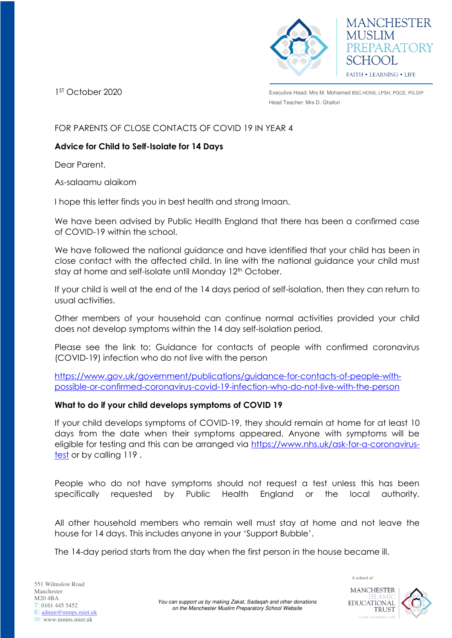



1ST October 2020

Executive Head: Mrs M. Mohamed BSC.HONS, LPSH, PGCE, PG.DIP Head Teacher: Mrs D. Ghafori

FOR PARENTS OF CLOSE CONTACTS OF COVID 19 IN YEAR 4

# **Advice for Child to Self-Isolate for 14 Days**

Dear Parent,

As-salaamu alaikom

I hope this letter finds you in best health and strong Imaan.

We have been advised by Public Health England that there has been a confirmed case of COVID-19 within the school.

We have followed the national guidance and have identified that your child has been in close contact with the affected child. In line with the national guidance your child must stay at home and self-isolate until Monday 12<sup>th</sup> October.

If your child is well at the end of the 14 days period of self-isolation, then they can return to usual activities.

Other members of your household can continue normal activities provided your child does not develop symptoms within the 14 day self-isolation period.

Please see the link to: Guidance for contacts of people with confirmed coronavirus (COVID-19) infection who do not live with the person

[https://www.gov.uk/government/publications/guidance-for-contacts-of-people-with](https://www.gov.uk/government/publications/guidance-for-contacts-of-people-with-possible-or-confirmed-coronavirus-covid-19-infection-who-do-not-live-with-the-person)[possible-or-confirmed-coronavirus-covid-19-infection-who-do-not-live-with-the-person](https://www.gov.uk/government/publications/guidance-for-contacts-of-people-with-possible-or-confirmed-coronavirus-covid-19-infection-who-do-not-live-with-the-person) 

## **What to do if your child develops symptoms of COVID 19**

If your child develops symptoms of COVID-19, they should remain at home for at least 10 days from the date when their symptoms appeared. Anyone with symptoms will be eligible for testing and this can be arranged via [https://www.nhs.uk/ask-for-a-coronavirus](https://www.nhs.uk/ask-for-a-coronavirus-test)[test](https://www.nhs.uk/ask-for-a-coronavirus-test) or by calling 119 .

People who do not have symptoms should not request a test unless this has been specifically requested by Public Health England or the local authority.

All other household members who remain well must stay at home and not leave the house for 14 days. This includes anyone in your 'Support Bubble'.

The 14-day period starts from the day when the first person in the house became ill.

**TRUST** 

A school of

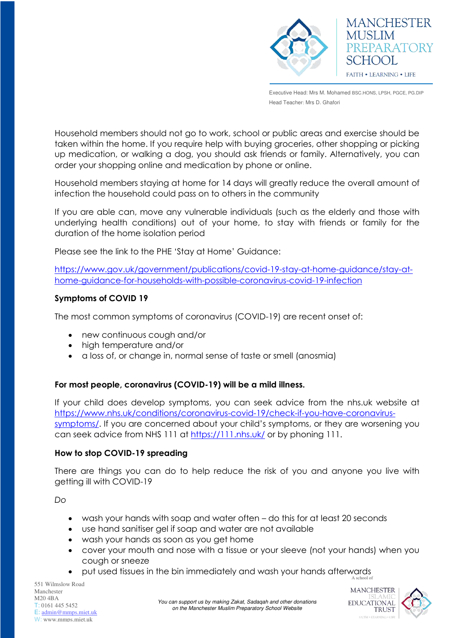



Executive Head: Mrs M. Mohamed BSC.HONS, LPSH, PGCE, PG.DIP Head Teacher: Mrs D. Ghafori

Household members should not go to work, school or public areas and exercise should be taken within the home. If you require help with buying groceries, other shopping or picking up medication, or walking a dog, you should ask friends or family. Alternatively, you can order your shopping online and medication by phone or online.

Household members staying at home for 14 days will greatly reduce the overall amount of infection the household could pass on to others in the community

If you are able can, move any vulnerable individuals (such as the elderly and those with underlying health conditions) out of your home, to stay with friends or family for the duration of the home isolation period

Please see the link to the PHE 'Stay at Home' Guidance:

[https://www.gov.uk/government/publications/covid-19-stay-at-home-guidance/stay-at](https://www.gov.uk/government/publications/covid-19-stay-at-home-guidance/stay-at-home-guidance-for-households-with-possible-coronavirus-covid-19-infection)[home-guidance-for-households-with-possible-coronavirus-covid-19-infection](https://www.gov.uk/government/publications/covid-19-stay-at-home-guidance/stay-at-home-guidance-for-households-with-possible-coronavirus-covid-19-infection)

## **Symptoms of COVID 19**

The most common symptoms of coronavirus (COVID-19) are recent onset of:

- new continuous cough and/or
- high temperature and/or
- a loss of, or change in, normal sense of taste or smell (anosmia)

## **For most people, coronavirus (COVID-19) will be a mild illness.**

If your child does develop symptoms, you can seek advice from the nhs.uk website at [https://www.nhs.uk/conditions/coronavirus-covid-19/check-if-you-have-coronavirus](https://www.nhs.uk/conditions/coronavirus-covid-19/check-if-you-have-coronavirus-symptoms/)[symptoms/](https://www.nhs.uk/conditions/coronavirus-covid-19/check-if-you-have-coronavirus-symptoms/). If you are concerned about your child's symptoms, or they are worsening you can seek advice from NHS 111 at<https://111.nhs.uk/>or by phoning 111.

#### **How to stop COVID-19 spreading**

There are things you can do to help reduce the risk of you and anyone you live with getting ill with COVID-19

*Do*

- wash your hands with soap and water often do this for at least 20 seconds
- use hand sanitiser gel if soap and water are not available
- wash your hands as soon as you get home
- cover your mouth and nose with a tissue or your sleeve (not your hands) when you cough or sneeze
- A school of put used tissues in the bin immediately and wash your hands afterwards

551 Wilmslow Road Manchester M20 4BA T: 0161 445 5452 E: [admin@mmps.miet.uk](mailto:admin@mmps.miet.uk) W: www.mmps.miet.uk